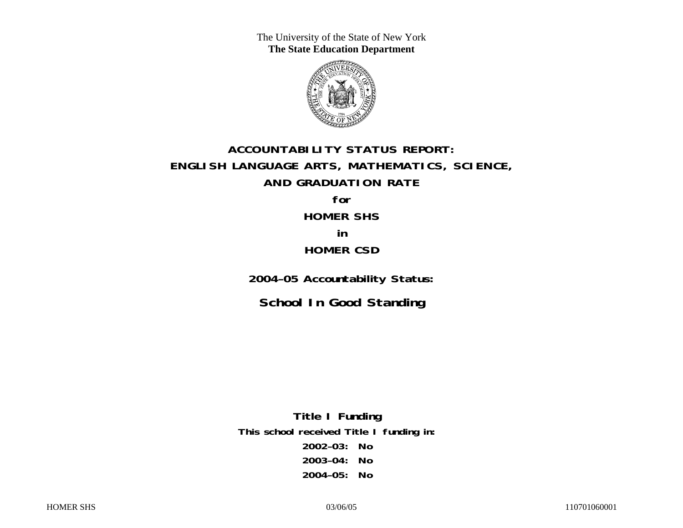The University of the State of New York **The State Education Department** 



## **ACCOUNTABILITY STATUS REPORT: ENGLISH LANGUAGE ARTS, MATHEMATICS, SCIENCE, AND GRADUATION RATE for HOMER SHS**

# **in HOMER CSD**

**2004–05 Accountability Status:** 

**School In Good Standing** 

**Title I Funding This school received Title I funding in: 2002–03: No 2003–04: No 2004–05: No**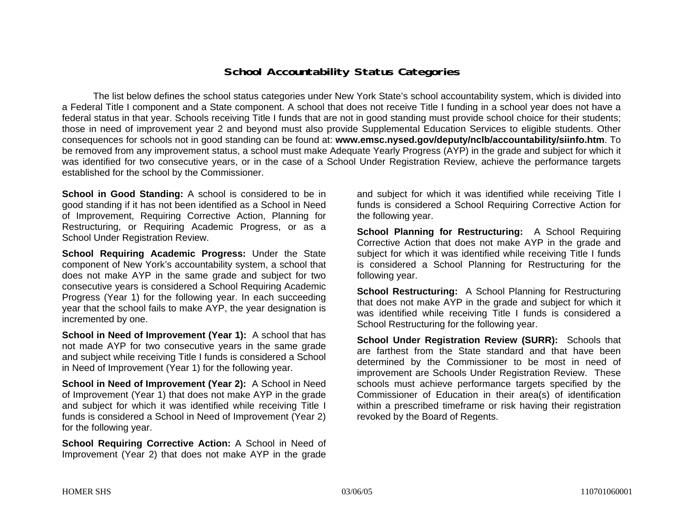#### **School Accountability Status Categories**

The list below defines the school status categories under New York State's school accountability system, which is divided into a Federal Title I component and a State component. A school that does not receive Title I funding in a school year does not have a federal status in that year. Schools receiving Title I funds that are not in good standing must provide school choice for their students; those in need of improvement year 2 and beyond must also provide Supplemental Education Services to eligible students. Other consequences for schools not in good standing can be found at: **www.emsc.nysed.gov/deputy/nclb/accountability/siinfo.htm**. To be removed from any improvement status, a school must make Adequate Yearly Progress (AYP) in the grade and subject for which it was identified for two consecutive years, or in the case of a School Under Registration Review, achieve the performance targets established for the school by the Commissioner.

**School in Good Standing:** A school is considered to be in good standing if it has not been identified as a School in Need of Improvement, Requiring Corrective Action, Planning for Restructuring, or Requiring Academic Progress, or as a School Under Registration Review.

**School Requiring Academic Progress:** Under the State component of New York's accountability system, a school that does not make AYP in the same grade and subject for two consecutive years is considered a School Requiring Academic Progress (Year 1) for the following year. In each succeeding year that the school fails to make AYP, the year designation is incremented by one.

**School in Need of Improvement (Year 1):** A school that has not made AYP for two consecutive years in the same grade and subject while receiving Title I funds is considered a School in Need of Improvement (Year 1) for the following year.

**School in Need of Improvement (Year 2):** A School in Need of Improvement (Year 1) that does not make AYP in the grade and subject for which it was identified while receiving Title I funds is considered a School in Need of Improvement (Year 2) for the following year.

**School Requiring Corrective Action:** A School in Need of Improvement (Year 2) that does not make AYP in the grade

and subject for which it was identified while receiving Title I funds is considered a School Requiring Corrective Action for the following year.

**School Planning for Restructuring:** A School Requiring Corrective Action that does not make AYP in the grade and subject for which it was identified while receiving Title I funds is considered a School Planning for Restructuring for the following year.

**School Restructuring:** A School Planning for Restructuring that does not make AYP in the grade and subject for which it was identified while receiving Title I funds is considered a School Restructuring for the following year.

**School Under Registration Review (SURR):** Schools that are farthest from the State standard and that have been determined by the Commissioner to be most in need of improvement are Schools Under Registration Review. These schools must achieve performance targets specified by the Commissioner of Education in their area(s) of identification within a prescribed timeframe or risk having their registration revoked by the Board of Regents.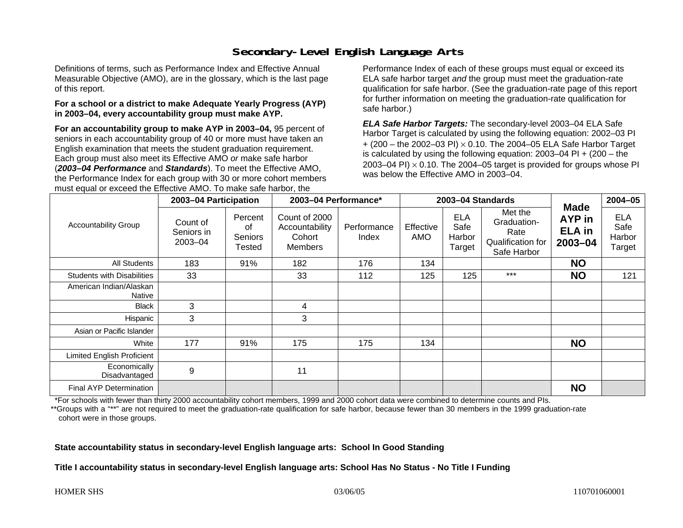### **Secondary-Level English Language Arts**

Definitions of terms, such as Performance Index and Effective Annual Measurable Objective (AMO), are in the glossary, which is the last page of this report.

#### **For a school or a district to make Adequate Yearly Progress (AYP) in 2003–04, every accountability group must make AYP.**

**For an accountability group to make AYP in 2003–04,** 95 percent of seniors in each accountability group of 40 or more must have taken an English examination that meets the student graduation requirement. Each group must also meet its Effective AMO *or* make safe harbor (*2003–04 Performance* and *Standards*). To meet the Effective AMO, the Performance Index for each group with 30 or more cohort members must equal or exceed the Effective AMO. To make safe harbor, the

Performance Index of each of these groups must equal or exceed its ELA safe harbor target *and* the group must meet the graduation-rate qualification for safe harbor. (See the graduation-rate page of this report for further information on meeting the graduation-rate qualification for safe harbor.)

*ELA Safe Harbor Targets:* The secondary-level 2003–04 ELA Safe Harbor Target is calculated by using the following equation: 2002–03 PI + (200 – the 2002–03 PI) <sup>×</sup> 0.10. The 2004–05 ELA Safe Harbor Target is calculated by using the following equation: 2003–04 PI + (200 – the 2003–04 PI)  $\times$  0.10. The 2004–05 target is provided for groups whose PI was below the Effective AMO in 2003–04.

| <b>Accountability Group</b>       | 2003-04 Participation                 |                                           | 2003-04 Performance*                                 |                      | 2003-04 Standards |                                        |                                                                    |                                                       | $2004 - 05$                            |
|-----------------------------------|---------------------------------------|-------------------------------------------|------------------------------------------------------|----------------------|-------------------|----------------------------------------|--------------------------------------------------------------------|-------------------------------------------------------|----------------------------------------|
|                                   | Count of<br>Seniors in<br>$2003 - 04$ | Percent<br>οf<br><b>Seniors</b><br>Tested | Count of 2000<br>Accountability<br>Cohort<br>Members | Performance<br>Index | Effective<br>AMO  | <b>ELA</b><br>Safe<br>Harbor<br>Target | Met the<br>Graduation-<br>Rate<br>Qualification for<br>Safe Harbor | <b>Made</b><br>AYP in<br><b>ELA</b> in<br>$2003 - 04$ | <b>ELA</b><br>Safe<br>Harbor<br>Target |
| <b>All Students</b>               | 183                                   | 91%                                       | 182                                                  | 176                  | 134               |                                        |                                                                    | <b>NO</b>                                             |                                        |
| <b>Students with Disabilities</b> | 33                                    |                                           | 33                                                   | 112                  | 125               | 125                                    | $***$                                                              | <b>NO</b>                                             | 121                                    |
| American Indian/Alaskan<br>Native |                                       |                                           |                                                      |                      |                   |                                        |                                                                    |                                                       |                                        |
| <b>Black</b>                      | 3                                     |                                           | 4                                                    |                      |                   |                                        |                                                                    |                                                       |                                        |
| Hispanic                          | 3                                     |                                           | 3                                                    |                      |                   |                                        |                                                                    |                                                       |                                        |
| Asian or Pacific Islander         |                                       |                                           |                                                      |                      |                   |                                        |                                                                    |                                                       |                                        |
| White                             | 177                                   | 91%                                       | 175                                                  | 175                  | 134               |                                        |                                                                    | <b>NO</b>                                             |                                        |
| <b>Limited English Proficient</b> |                                       |                                           |                                                      |                      |                   |                                        |                                                                    |                                                       |                                        |
| Economically<br>Disadvantaged     | 9                                     |                                           | 11                                                   |                      |                   |                                        |                                                                    |                                                       |                                        |
| <b>Final AYP Determination</b>    |                                       |                                           |                                                      |                      |                   |                                        |                                                                    | <b>NO</b>                                             |                                        |

\*For schools with fewer than thirty 2000 accountability cohort members, 1999 and 2000 cohort data were combined to determine counts and PIs.

\*\*Groups with a "\*\*" are not required to meet the graduation-rate qualification for safe harbor, because fewer than 30 members in the 1999 graduation-rate cohort were in those groups.

**State accountability status in secondary-level English language arts: School In Good Standing** 

**Title I accountability status in secondary-level English language arts: School Has No Status - No Title I Funding**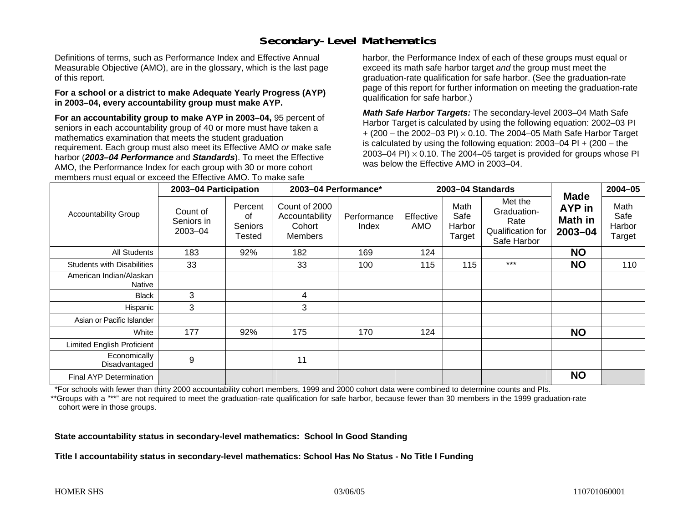### **Secondary-Level Mathematics**

Definitions of terms, such as Performance Index and Effective Annual Measurable Objective (AMO), are in the glossary, which is the last page of this report.

#### **For a school or a district to make Adequate Yearly Progress (AYP) in 2003–04, every accountability group must make AYP.**

**For an accountability group to make AYP in 2003–04,** 95 percent of seniors in each accountability group of 40 or more must have taken a mathematics examination that meets the student graduation requirement. Each group must also meet its Effective AMO *or* make safe harbor (*2003–04 Performance* and *Standards*). To meet the Effective AMO, the Performance Index for each group with 30 or more cohort members must equal or exceed the Effective AMO. To make safe

harbor, the Performance Index of each of these groups must equal or exceed its math safe harbor target *and* the group must meet the graduation-rate qualification for safe harbor. (See the graduation-rate page of this report for further information on meeting the graduation-rate qualification for safe harbor.)

*Math Safe Harbor Targets:* The secondary-level 2003–04 Math Safe Harbor Target is calculated by using the following equation: 2002–03 PI + (200 – the 2002–03 PI) <sup>×</sup> 0.10. The 2004–05 Math Safe Harbor Target is calculated by using the following equation: 2003–04 PI + (200 – the 2003–04 PI)  $\times$  0.10. The 2004–05 target is provided for groups whose PI was below the Effective AMO in 2003–04.

| <b>Accountability Group</b>       | 2003-04 Participation             |                                    | 2003-04 Performance*                                        |                      | 2003-04 Standards |                                  |                                                                    |                                                           | $2004 - 05$                      |
|-----------------------------------|-----------------------------------|------------------------------------|-------------------------------------------------------------|----------------------|-------------------|----------------------------------|--------------------------------------------------------------------|-----------------------------------------------------------|----------------------------------|
|                                   | Count of<br>Seniors in<br>2003-04 | Percent<br>οf<br>Seniors<br>Tested | Count of 2000<br>Accountability<br>Cohort<br><b>Members</b> | Performance<br>Index | Effective<br>AMO  | Math<br>Safe<br>Harbor<br>Target | Met the<br>Graduation-<br>Rate<br>Qualification for<br>Safe Harbor | <b>Made</b><br><b>AYP</b> in<br><b>Math in</b><br>2003-04 | Math<br>Safe<br>Harbor<br>Target |
| <b>All Students</b>               | 183                               | 92%                                | 182                                                         | 169                  | 124               |                                  |                                                                    | <b>NO</b>                                                 |                                  |
| <b>Students with Disabilities</b> | 33                                |                                    | 33                                                          | 100                  | 115               | 115                              | $***$                                                              | <b>NO</b>                                                 | 110                              |
| American Indian/Alaskan<br>Native |                                   |                                    |                                                             |                      |                   |                                  |                                                                    |                                                           |                                  |
| <b>Black</b>                      | 3                                 |                                    | 4                                                           |                      |                   |                                  |                                                                    |                                                           |                                  |
| Hispanic                          | 3                                 |                                    | 3                                                           |                      |                   |                                  |                                                                    |                                                           |                                  |
| Asian or Pacific Islander         |                                   |                                    |                                                             |                      |                   |                                  |                                                                    |                                                           |                                  |
| White                             | 177                               | 92%                                | 175                                                         | 170                  | 124               |                                  |                                                                    | <b>NO</b>                                                 |                                  |
| Limited English Proficient        |                                   |                                    |                                                             |                      |                   |                                  |                                                                    |                                                           |                                  |
| Economically<br>Disadvantaged     | 9                                 |                                    | 11                                                          |                      |                   |                                  |                                                                    |                                                           |                                  |
| <b>Final AYP Determination</b>    |                                   |                                    |                                                             |                      |                   |                                  |                                                                    | <b>NO</b>                                                 |                                  |

\*For schools with fewer than thirty 2000 accountability cohort members, 1999 and 2000 cohort data were combined to determine counts and PIs.

\*\*Groups with a "\*\*" are not required to meet the graduation-rate qualification for safe harbor, because fewer than 30 members in the 1999 graduation-rate cohort were in those groups.

**State accountability status in secondary-level mathematics: School In Good Standing** 

**Title I accountability status in secondary-level mathematics: School Has No Status - No Title I Funding**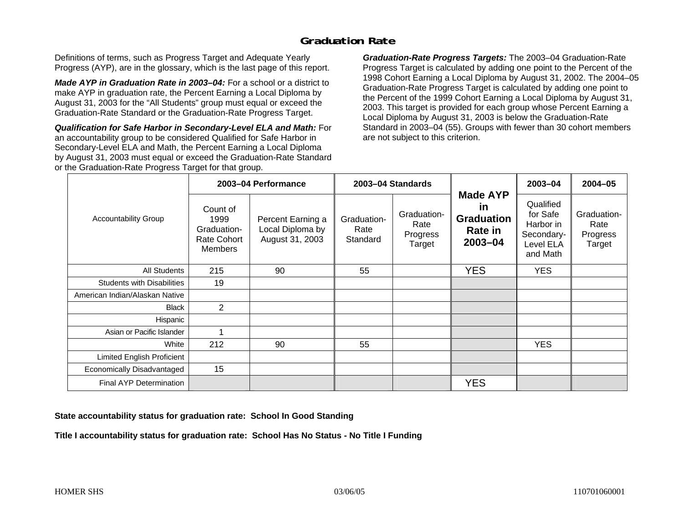### **Graduation Rate**

Definitions of terms, such as Progress Target and Adequate Yearly Progress (AYP), are in the glossary, which is the last page of this report.

*Made AYP in Graduation Rate in 2003–04:* For a school or a district to make AYP in graduation rate, the Percent Earning a Local Diploma by August 31, 2003 for the "All Students" group must equal or exceed the Graduation-Rate Standard or the Graduation-Rate Progress Target.

*Qualification for Safe Harbor in Secondary-Level ELA and Math:* For an accountability group to be considered Qualified for Safe Harbor in Secondary-Level ELA and Math, the Percent Earning a Local Diploma by August 31, 2003 must equal or exceed the Graduation-Rate Standard or the Graduation-Rate Progress Target for that group.

*Graduation-Rate Progress Targets:* The 2003–04 Graduation-Rate Progress Target is calculated by adding one point to the Percent of the 1998 Cohort Earning a Local Diploma by August 31, 2002. The 2004–05 Graduation-Rate Progress Target is calculated by adding one point to the Percent of the 1999 Cohort Earning a Local Diploma by August 31, 2003. This target is provided for each group whose Percent Earning a Local Diploma by August 31, 2003 is below the Graduation-Rate Standard in 2003–04 (55). Groups with fewer than 30 cohort members are not subject to this criterion.

|                                   |                                                                  | 2003-04 Performance                                      | 2003-04 Standards               |                                           |                                                                             | 2003-04                                                                   | $2004 - 05$                               |
|-----------------------------------|------------------------------------------------------------------|----------------------------------------------------------|---------------------------------|-------------------------------------------|-----------------------------------------------------------------------------|---------------------------------------------------------------------------|-------------------------------------------|
| Accountability Group              | Count of<br>1999<br>Graduation-<br>Rate Cohort<br><b>Members</b> | Percent Earning a<br>Local Diploma by<br>August 31, 2003 | Graduation-<br>Rate<br>Standard | Graduation-<br>Rate<br>Progress<br>Target | <b>Made AYP</b><br><b>in</b><br><b>Graduation</b><br>Rate in<br>$2003 - 04$ | Qualified<br>for Safe<br>Harbor in<br>Secondary-<br>Level ELA<br>and Math | Graduation-<br>Rate<br>Progress<br>Target |
| All Students                      | 215                                                              | 90                                                       | 55                              |                                           | <b>YES</b>                                                                  | <b>YES</b>                                                                |                                           |
| <b>Students with Disabilities</b> | 19                                                               |                                                          |                                 |                                           |                                                                             |                                                                           |                                           |
| American Indian/Alaskan Native    |                                                                  |                                                          |                                 |                                           |                                                                             |                                                                           |                                           |
| <b>Black</b>                      | $\overline{2}$                                                   |                                                          |                                 |                                           |                                                                             |                                                                           |                                           |
| Hispanic                          |                                                                  |                                                          |                                 |                                           |                                                                             |                                                                           |                                           |
| Asian or Pacific Islander         | 1                                                                |                                                          |                                 |                                           |                                                                             |                                                                           |                                           |
| White                             | 212                                                              | 90                                                       | 55                              |                                           |                                                                             | <b>YES</b>                                                                |                                           |
| Limited English Proficient        |                                                                  |                                                          |                                 |                                           |                                                                             |                                                                           |                                           |
| Economically Disadvantaged        | 15                                                               |                                                          |                                 |                                           |                                                                             |                                                                           |                                           |
| <b>Final AYP Determination</b>    |                                                                  |                                                          |                                 |                                           | <b>YES</b>                                                                  |                                                                           |                                           |

#### **State accountability status for graduation rate: School In Good Standing**

**Title I accountability status for graduation rate: School Has No Status - No Title I Funding**